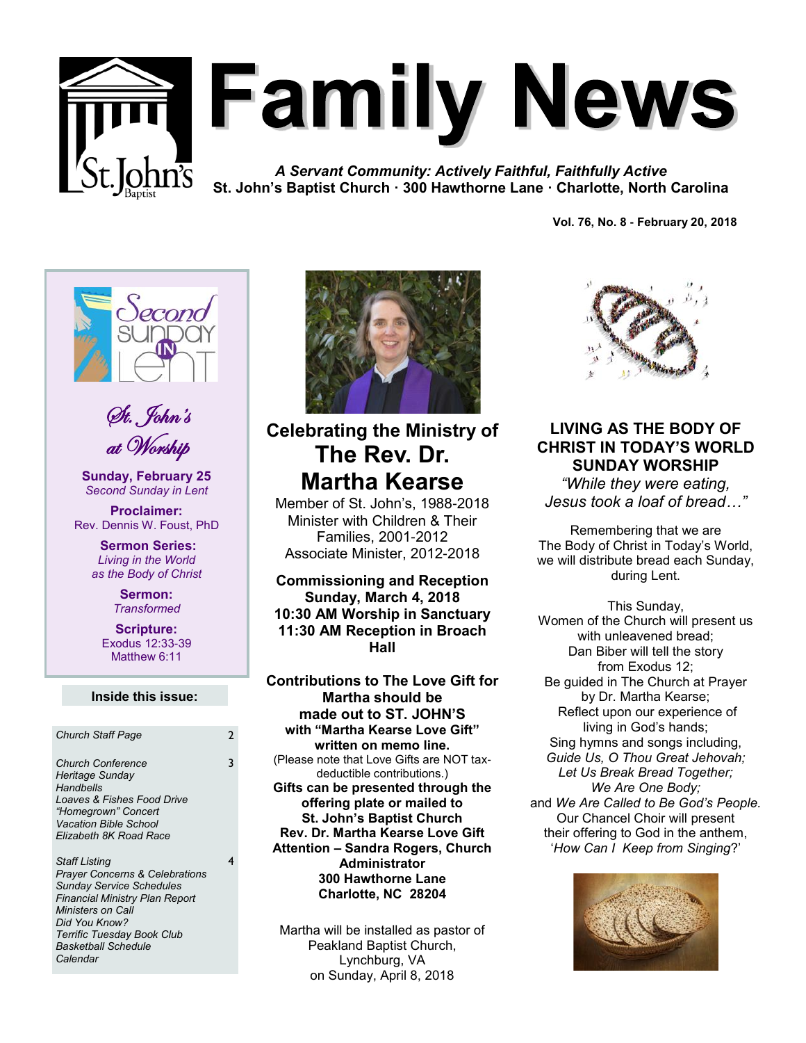

# **Family News**

*A Servant Community: Actively Faithful, Faithfully Active* **St. John's Baptist Church · 300 Hawthorne Lane · Charlotte, North Carolina**

**Vol. 76, No. 8 - February 20, 2018** 



St. John's at Worship

**Sunday, February 25** *Second Sunday in Lent*

**Proclaimer:** Rev. Dennis W. Foust, PhD

> **Sermon Series:** *Living in the World as the Body of Christ*

> > **Sermon:** *Transformed*

**Scripture:** Exodus 12:33-39 Matthew 6:11

#### **Inside this issue:**

3

| <b>Church Staff Page</b>                                                                                                                                                                                                                                           | 2 |
|--------------------------------------------------------------------------------------------------------------------------------------------------------------------------------------------------------------------------------------------------------------------|---|
| <b>Church Conference</b><br>Heritage Sunday<br>Handbells<br>Loaves & Fishes Food Drive<br>"Homegrown" Concert<br><b>Vacation Bible School</b><br>Elizabeth 8K Road Race                                                                                            | 3 |
| <b>Staff Listing</b><br><b>Prayer Concerns &amp; Celebrations</b><br><b>Sunday Service Schedules</b><br>Financial Ministry Plan Report<br><b>Ministers on Call</b><br>Did You Know?<br><b>Terrific Tuesday Book Club</b><br><b>Basketball Schedule</b><br>Calendar | 4 |



## **Celebrating the Ministry of The Rev. Dr. Martha Kearse**

Member of St. John's, 1988-2018 Minister with Children & Their Families, 2001-2012 Associate Minister, 2012-2018

**Commissioning and Reception Sunday, March 4, 2018 10:30 AM Worship in Sanctuary 11:30 AM Reception in Broach Hall**

**Contributions to The Love Gift for Martha should be made out to ST. JOHN'S with "Martha Kearse Love Gift" written on memo line.** (Please note that Love Gifts are NOT taxdeductible contributions.) **Gifts can be presented through the offering plate or mailed to St. John's Baptist Church Rev. Dr. Martha Kearse Love Gift Attention – Sandra Rogers, Church Administrator 300 Hawthorne Lane Charlotte, NC 28204** 

Martha will be installed as pastor of Peakland Baptist Church, Lynchburg, VA on Sunday, April 8, 2018



## **LIVING AS THE BODY OF CHRIST IN TODAY'S WORLD SUNDAY WORSHIP**

*"While they were eating, Jesus took a loaf of bread…"*

Remembering that we are The Body of Christ in Today's World, we will distribute bread each Sunday, during Lent.

This Sunday, Women of the Church will present us with unleavened bread; Dan Biber will tell the story from Exodus 12; Be guided in The Church at Prayer by Dr. Martha Kearse; Reflect upon our experience of living in God's hands; Sing hymns and songs including, *Guide Us, O Thou Great Jehovah; Let Us Break Bread Together; We Are One Body;* and *We Are Called to Be God's People.* Our Chancel Choir will present their offering to God in the anthem, '*How Can I Keep from Singing*?'

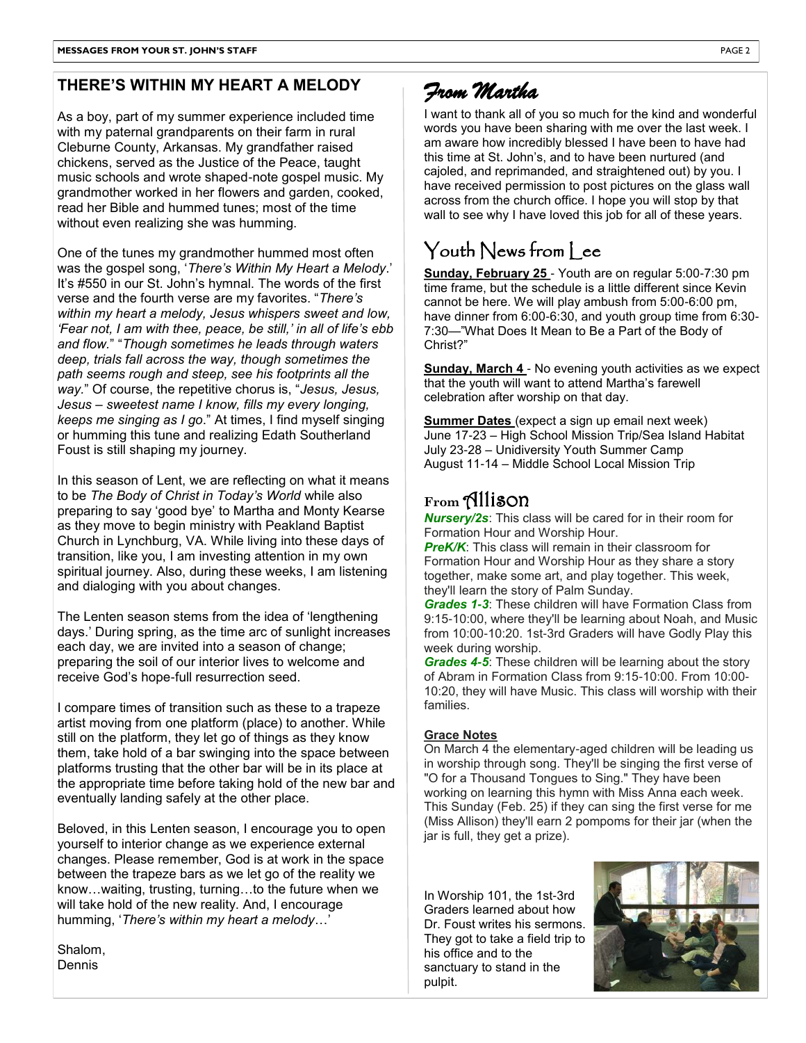## **THERE'S WITHIN MY HEART A MELODY**

As a boy, part of my summer experience included time with my paternal grandparents on their farm in rural Cleburne County, Arkansas. My grandfather raised chickens, served as the Justice of the Peace, taught music schools and wrote shaped-note gospel music. My grandmother worked in her flowers and garden, cooked, read her Bible and hummed tunes; most of the time without even realizing she was humming.

One of the tunes my grandmother hummed most often was the gospel song, '*There's Within My Heart a Melody*.' It's #550 in our St. John's hymnal. The words of the first verse and the fourth verse are my favorites. "*There's within my heart a melody, Jesus whispers sweet and low, 'Fear not, I am with thee, peace, be still,' in all of life's ebb and flow.*" "*Though sometimes he leads through waters deep, trials fall across the way, though sometimes the path seems rough and steep, see his footprints all the way.*" Of course, the repetitive chorus is, "*Jesus, Jesus, Jesus – sweetest name I know, fills my every longing, keeps me singing as I go*." At times, I find myself singing or humming this tune and realizing Edath Southerland Foust is still shaping my journey.

In this season of Lent, we are reflecting on what it means to be *The Body of Christ in Today's World* while also preparing to say 'good bye' to Martha and Monty Kearse as they move to begin ministry with Peakland Baptist Church in Lynchburg, VA. While living into these days of transition, like you, I am investing attention in my own spiritual journey. Also, during these weeks, I am listening and dialoging with you about changes.

The Lenten season stems from the idea of 'lengthening days.' During spring, as the time arc of sunlight increases each day, we are invited into a season of change; preparing the soil of our interior lives to welcome and receive God's hope-full resurrection seed.

I compare times of transition such as these to a trapeze artist moving from one platform (place) to another. While still on the platform, they let go of things as they know them, take hold of a bar swinging into the space between platforms trusting that the other bar will be in its place at the appropriate time before taking hold of the new bar and eventually landing safely at the other place.

Beloved, in this Lenten season, I encourage you to open yourself to interior change as we experience external changes. Please remember, God is at work in the space between the trapeze bars as we let go of the reality we know…waiting, trusting, turning…to the future when we will take hold of the new reality. And, I encourage humming, '*There's within my heart a melody*…'

Shalom, Dennis

# *From Martha*

I want to thank all of you so much for the kind and wonderful words you have been sharing with me over the last week. I am aware how incredibly blessed I have been to have had this time at St. John's, and to have been nurtured (and cajoled, and reprimanded, and straightened out) by you. I have received permission to post pictures on the glass wall across from the church office. I hope you will stop by that wall to see why I have loved this job for all of these years.

# $\cal Y$ outh  $\cal N$ ews from  $\sf l$  ee

**Sunday, February 25** - Youth are on regular 5:00-7:30 pm time frame, but the schedule is a little different since Kevin cannot be here. We will play ambush from 5:00-6:00 pm, have dinner from 6:00-6:30, and youth group time from 6:30-7:30—"What Does It Mean to Be a Part of the Body of Christ?"

**Sunday, March 4** - No evening youth activities as we expect that the youth will want to attend Martha's farewell celebration after worship on that day.

**Summer Dates** (expect a sign up email next week) June 17-23 – High School Mission Trip/Sea Island Habitat July 23-28 – Unidiversity Youth Summer Camp August 11-14 – Middle School Local Mission Trip

## **From** Allison

*Nursery/2s*: This class will be cared for in their room for Formation Hour and Worship Hour.

*PreK/K*: This class will remain in their classroom for Formation Hour and Worship Hour as they share a story together, make some art, and play together. This week, they'll learn the story of Palm Sunday.

*Grades 1-3*: These children will have Formation Class from 9:15-10:00, where they'll be learning about Noah, and Music from 10:00-10:20. 1st-3rd Graders will have Godly Play this week during worship.

*Grades 4-5*: These children will be learning about the story of Abram in Formation Class from 9:15-10:00. From 10:00- 10:20, they will have Music. This class will worship with their families.

#### **Grace Notes**

On March 4 the elementary-aged children will be leading us in worship through song. They'll be singing the first verse of "O for a Thousand Tongues to Sing." They have been working on learning this hymn with Miss Anna each week. This Sunday (Feb. 25) if they can sing the first verse for me (Miss Allison) they'll earn 2 pompoms for their jar (when the jar is full, they get a prize).

In Worship 101, the 1st-3rd Graders learned about how Dr. Foust writes his sermons. They got to take a field trip to his office and to the sanctuary to stand in the pulpit.

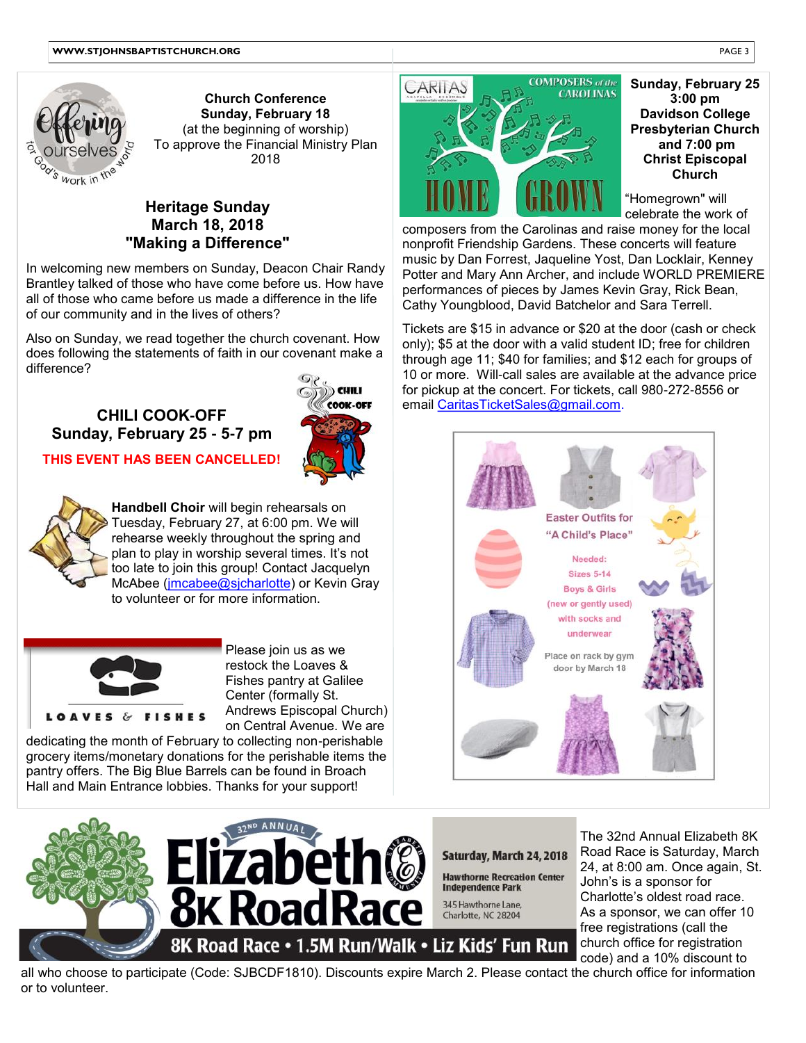

**Church Conference Sunday, February 18** (at the beginning of worship) To approve the Financial Ministry Plan 2018

## **Heritage Sunday March 18, 2018 "Making a Difference"**

1 4 In welcoming new members on Sunday, Deacon Chair Randy Brantley talked of those who have come before us. How have all of those who came before us made a difference in the life of our community and in the lives of others?

Also on Sunday, we read together the church covenant. How does following the statements of faith in our covenant make a difference?

# **CHILI COOK-OFF Sunday, February 25 - 5-7 pm**



**THIS EVENT HAS BEEN CANCELLED!**



to volunteer or for more information. **Handbell Choir** will begin rehearsals on Tuesday, February 27, at 6:00 pm. We will rehearse weekly throughout the spring and plan to play in worship several times. It's not too late to join this group! Contact Jacquelyn McAbee (*imcabee@sjcharlotte*) or Kevin Gray



Please join us as we restock the Loaves & Fishes pantry at Galilee Center (formally St. Andrews Episcopal Church) on Central Avenue. We are

dedicating the month of February to collecting non-perishable grocery items/monetary donations for the perishable items the pantry offers. The Big Blue Barrels can be found in Broach Hall and Main Entrance lobbies. Thanks for your support!



**Sunday, February 25 3:00 pm Davidson College Presbyterian Church and 7:00 pm Christ Episcopal Church** 

"Homegrown" will celebrate the work of

7 nonprofit Friendship Gardens. These concerts will feature composers from the Carolinas and raise money for the local music by Dan Forrest, Jaqueline Yost, Dan Locklair, Kenney Potter and Mary Ann Archer, and include WORLD PREMIERE performances of pieces by James Kevin Gray, Rick Bean, Cathy Youngblood, David Batchelor and Sara Terrell.

Tickets are \$15 in advance or \$20 at the door (cash or check only); \$5 at the door with a valid student ID; free for children through age 11; \$40 for families; and \$12 each for groups of 10 or more. Will-call sales are available at the advance price for pickup at the concert. For tickets, call 980-272-8556 or email CaritasTicketSales@gmail.com.





The 32nd Annual Elizabeth 8K Road Race is Saturday, March 24, at 8:00 am. Once again, St. John's is a sponsor for Charlotte's oldest road race. As a sponsor, we can offer 10 free registrations (call the church office for registration code) and a 10% discount to

all who choose to participate (Code: SJBCDF1810). Discounts expire March 2. Please contact the church office for information or to volunteer.